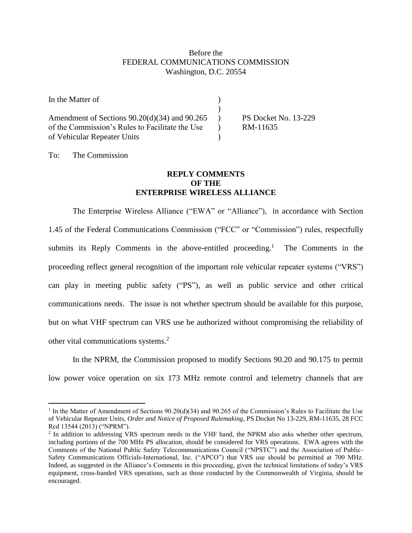## Before the FEDERAL COMMUNICATIONS COMMISSION Washington, D.C. 20554

| In the Matter of                                  |                      |
|---------------------------------------------------|----------------------|
|                                                   |                      |
| Amendment of Sections $90.20(d)(34)$ and $90.265$ | PS Docket No. 13-229 |
| of the Commission's Rules to Facilitate the Use   | RM-11635             |
| of Vehicular Repeater Units                       |                      |

To: The Commission

 $\overline{a}$ 

## **REPLY COMMENTS OF THE ENTERPRISE WIRELESS ALLIANCE**

The Enterprise Wireless Alliance ("EWA" or "Alliance"), in accordance with Section 1.45 of the Federal Communications Commission ("FCC" or "Commission") rules, respectfully submits its Reply Comments in the above-entitled proceeding.<sup>1</sup> The Comments in the proceeding reflect general recognition of the important role vehicular repeater systems ("VRS") can play in meeting public safety ("PS"), as well as public service and other critical communications needs. The issue is not whether spectrum should be available for this purpose, but on what VHF spectrum can VRS use be authorized without compromising the reliability of other vital communications systems.<sup>2</sup>

In the NPRM, the Commission proposed to modify Sections 90.20 and 90.175 to permit low power voice operation on six 173 MHz remote control and telemetry channels that are

<sup>&</sup>lt;sup>1</sup> In the Matter of Amendment of Sections  $90.20(d)(34)$  and  $90.265$  of the Commission's Rules to Facilitate the Use of Vehicular Repeater Units, *Order and Notice of Proposed Rulemaking*, PS Docket No 13-229, RM-11635, 28 FCC Rcd 13544 (2013) ("NPRM").

<sup>&</sup>lt;sup>2</sup> In addition to addressing VRS spectrum needs in the VHF band, the NPRM also asks whether other spectrum, including portions of the 700 MHz PS allocation, should be considered for VRS operations. EWA agrees with the Comments of the National Public Safety Telecommunications Council ("NPSTC") and the Association of Public-Safety Communications Officials-International, Inc. ("APCO") that VRS use should be permitted at 700 MHz. Indeed, as suggested in the Alliance's Comments in this proceeding, given the technical limitations of today's VRS equipment, cross-banded VRS operations, such as those conducted by the Commonwealth of Virginia, should be encouraged.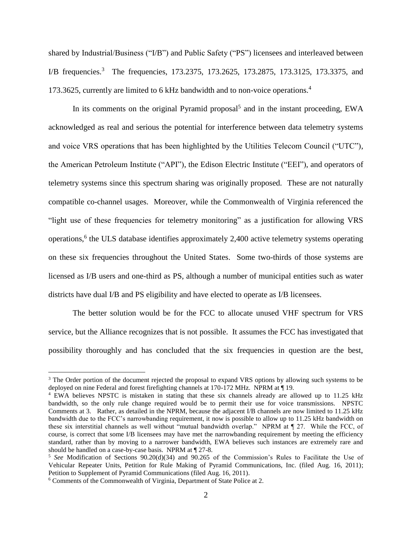shared by Industrial/Business ("I/B") and Public Safety ("PS") licensees and interleaved between I/B frequencies.<sup>3</sup> The frequencies, 173.2375, 173.2625, 173.2875, 173.3125, 173.3375, and 173.3625, currently are limited to 6 kHz bandwidth and to non-voice operations.<sup>4</sup>

In its comments on the original Pyramid proposal<sup>5</sup> and in the instant proceeding, EWA acknowledged as real and serious the potential for interference between data telemetry systems and voice VRS operations that has been highlighted by the Utilities Telecom Council ("UTC"), the American Petroleum Institute ("API"), the Edison Electric Institute ("EEI"), and operators of telemetry systems since this spectrum sharing was originally proposed. These are not naturally compatible co-channel usages. Moreover, while the Commonwealth of Virginia referenced the "light use of these frequencies for telemetry monitoring" as a justification for allowing VRS operations,<sup>6</sup> the ULS database identifies approximately 2,400 active telemetry systems operating on these six frequencies throughout the United States. Some two-thirds of those systems are licensed as I/B users and one-third as PS, although a number of municipal entities such as water districts have dual I/B and PS eligibility and have elected to operate as I/B licensees.

The better solution would be for the FCC to allocate unused VHF spectrum for VRS service, but the Alliance recognizes that is not possible. It assumes the FCC has investigated that possibility thoroughly and has concluded that the six frequencies in question are the best,

 $\overline{a}$ 

<sup>&</sup>lt;sup>3</sup> The Order portion of the document rejected the proposal to expand VRS options by allowing such systems to be deployed on nine Federal and forest firefighting channels at 170-172 MHz. NPRM at ¶ 19.

<sup>4</sup> EWA believes NPSTC is mistaken in stating that these six channels already are allowed up to 11.25 kHz bandwidth, so the only rule change required would be to permit their use for voice transmissions. NPSTC Comments at 3. Rather, as detailed in the NPRM, because the adjacent I/B channels are now limited to 11.25 kHz bandwidth due to the FCC's narrowbanding requirement, it now is possible to allow up to 11.25 kHz bandwidth on these six interstitial channels as well without "mutual bandwidth overlap." NPRM at ¶ 27. While the FCC, of course, is correct that some I/B licensees may have met the narrowbanding requirement by meeting the efficiency standard, rather than by moving to a narrower bandwidth, EWA believes such instances are extremely rare and should be handled on a case-by-case basis. NPRM at  $\P$  27-8.

<sup>5</sup> *See* Modification of Sections 90.20(d)(34) and 90.265 of the Commission's Rules to Facilitate the Use of Vehicular Repeater Units, Petition for Rule Making of Pyramid Communications, Inc. (filed Aug. 16, 2011); Petition to Supplement of Pyramid Communications (filed Aug. 16, 2011).

<sup>6</sup> Comments of the Commonwealth of Virginia, Department of State Police at 2.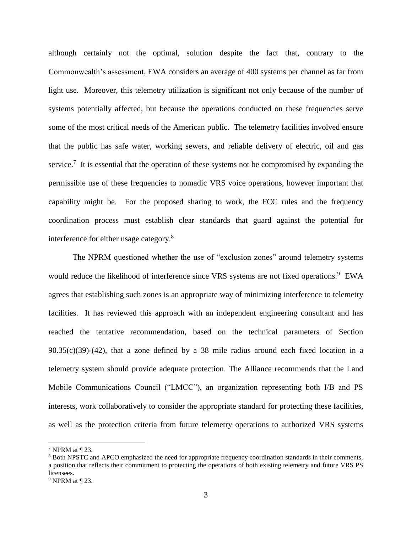although certainly not the optimal, solution despite the fact that, contrary to the Commonwealth's assessment, EWA considers an average of 400 systems per channel as far from light use. Moreover, this telemetry utilization is significant not only because of the number of systems potentially affected, but because the operations conducted on these frequencies serve some of the most critical needs of the American public. The telemetry facilities involved ensure that the public has safe water, working sewers, and reliable delivery of electric, oil and gas service.<sup>7</sup> It is essential that the operation of these systems not be compromised by expanding the permissible use of these frequencies to nomadic VRS voice operations, however important that capability might be. For the proposed sharing to work, the FCC rules and the frequency coordination process must establish clear standards that guard against the potential for interference for either usage category.<sup>8</sup>

The NPRM questioned whether the use of "exclusion zones" around telemetry systems would reduce the likelihood of interference since VRS systems are not fixed operations.<sup>9</sup> EWA agrees that establishing such zones is an appropriate way of minimizing interference to telemetry facilities. It has reviewed this approach with an independent engineering consultant and has reached the tentative recommendation, based on the technical parameters of Section 90.35(c)(39)-(42), that a zone defined by a 38 mile radius around each fixed location in a telemetry system should provide adequate protection. The Alliance recommends that the Land Mobile Communications Council ("LMCC"), an organization representing both I/B and PS interests, work collaboratively to consider the appropriate standard for protecting these facilities, as well as the protection criteria from future telemetry operations to authorized VRS systems

 $\overline{a}$ 

<sup>7</sup> NPRM at ¶ 23.

<sup>8</sup> Both NPSTC and APCO emphasized the need for appropriate frequency coordination standards in their comments, a position that reflects their commitment to protecting the operations of both existing telemetry and future VRS PS licensees.

 $9$  NPRM at  $\P$  23.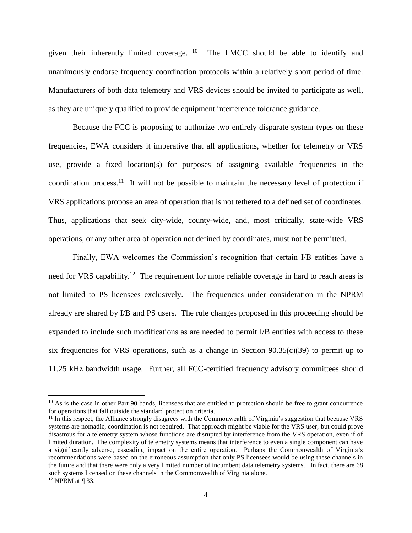given their inherently limited coverage. <sup>10</sup> The LMCC should be able to identify and unanimously endorse frequency coordination protocols within a relatively short period of time. Manufacturers of both data telemetry and VRS devices should be invited to participate as well, as they are uniquely qualified to provide equipment interference tolerance guidance.

Because the FCC is proposing to authorize two entirely disparate system types on these frequencies, EWA considers it imperative that all applications, whether for telemetry or VRS use, provide a fixed location(s) for purposes of assigning available frequencies in the coordination process.<sup>11</sup> It will not be possible to maintain the necessary level of protection if VRS applications propose an area of operation that is not tethered to a defined set of coordinates. Thus, applications that seek city-wide, county-wide, and, most critically, state-wide VRS operations, or any other area of operation not defined by coordinates, must not be permitted.

Finally, EWA welcomes the Commission's recognition that certain I/B entities have a need for VRS capability.<sup>12</sup> The requirement for more reliable coverage in hard to reach areas is not limited to PS licensees exclusively. The frequencies under consideration in the NPRM already are shared by I/B and PS users. The rule changes proposed in this proceeding should be expanded to include such modifications as are needed to permit I/B entities with access to these six frequencies for VRS operations, such as a change in Section  $90.35(c)(39)$  to permit up to 11.25 kHz bandwidth usage. Further, all FCC-certified frequency advisory committees should

 $\overline{a}$ 

<sup>&</sup>lt;sup>10</sup> As is the case in other Part 90 bands, licensees that are entitled to protection should be free to grant concurrence for operations that fall outside the standard protection criteria.

<sup>&</sup>lt;sup>11</sup> In this respect, the Alliance strongly disagrees with the Commonwealth of Virginia's suggestion that because VRS systems are nomadic, coordination is not required. That approach might be viable for the VRS user, but could prove disastrous for a telemetry system whose functions are disrupted by interference from the VRS operation, even if of limited duration. The complexity of telemetry systems means that interference to even a single component can have a significantly adverse, cascading impact on the entire operation. Perhaps the Commonwealth of Virginia's recommendations were based on the erroneous assumption that only PS licensees would be using these channels in the future and that there were only a very limited number of incumbent data telemetry systems. In fact, there are 68 such systems licensed on these channels in the Commonwealth of Virginia alone.  $12$  NPRM at ¶ 33.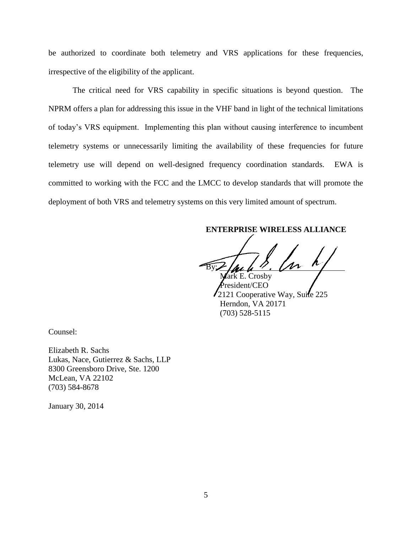be authorized to coordinate both telemetry and VRS applications for these frequencies, irrespective of the eligibility of the applicant.

The critical need for VRS capability in specific situations is beyond question. The NPRM offers a plan for addressing this issue in the VHF band in light of the technical limitations of today's VRS equipment. Implementing this plan without causing interference to incumbent telemetry systems or unnecessarily limiting the availability of these frequencies for future telemetry use will depend on well-designed frequency coordination standards. EWA is committed to working with the FCC and the LMCC to develop standards that will promote the deployment of both VRS and telemetry systems on this very limited amount of spectrum.

## **ENTERPRISE WIRELESS ALLIANCE**

 $By L \mu L$  .  $\mu$ ark E. Crosby

President/CEO 2121 Cooperative Way, Suite 225 Herndon, VA 20171 (703) 528-5115

Counsel:

Elizabeth R. Sachs Lukas, Nace, Gutierrez & Sachs, LLP 8300 Greensboro Drive, Ste. 1200 McLean, VA 22102 (703) 584-8678

January 30, 2014